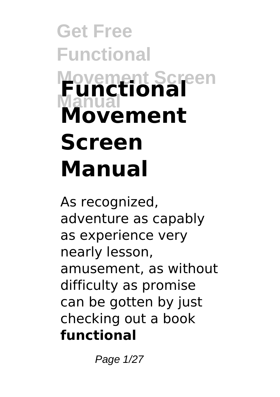# **Get Free Functional Movement Screen Manual Functional Movement Screen Manual**

As recognized, adventure as capably as experience very nearly lesson, amusement, as without difficulty as promise can be gotten by just checking out a book **functional**

Page 1/27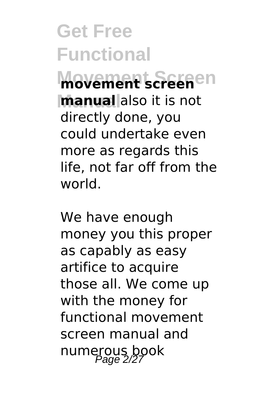**Movement Screen movement screen manual** also it is not directly done, you could undertake even more as regards this life, not far off from the world.

We have enough money you this proper as capably as easy artifice to acquire those all. We come up with the money for functional movement screen manual and numerous book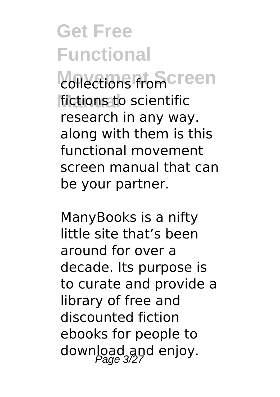collections from Creen **Manual** fictions to scientific research in any way. along with them is this functional movement screen manual that can be your partner.

ManyBooks is a nifty little site that's been around for over a decade. Its purpose is to curate and provide a library of free and discounted fiction ebooks for people to download and enjoy.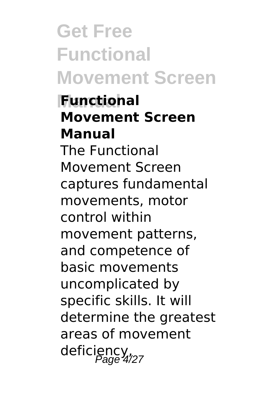**Get Free Functional Movement Screen**

**Functional Movement Screen Manual** The Functional

Movement Screen captures fundamental movements, motor control within movement patterns, and competence of basic movements uncomplicated by specific skills. It will determine the greatest areas of movement deficiency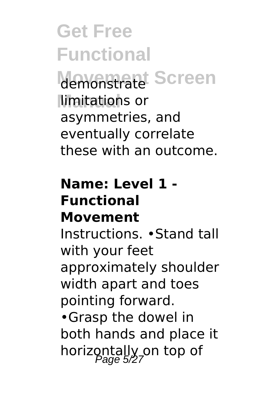demonstrate<sup>t</sup> Screen **Nmitations** or asymmetries, and eventually correlate these with an outcome.

#### **Name: Level 1 - Functional Movement**

Instructions. •Stand tall with your feet approximately shoulder width apart and toes pointing forward. •Grasp the dowel in both hands and place it horizontally on top of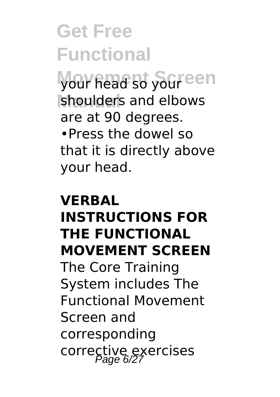your head so your een shoulders and elbows are at 90 degrees. •Press the dowel so that it is directly above your head.

### **VERBAL INSTRUCTIONS FOR THE FUNCTIONAL MOVEMENT SCREEN** The Core Training

System includes The Functional Movement Screen and corresponding corrective exercises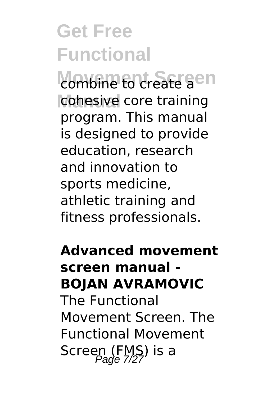combine to create aen cohesive core training program. This manual is designed to provide education, research and innovation to sports medicine, athletic training and fitness professionals.

**Advanced movement screen manual - BOJAN AVRAMOVIC** The Functional Movement Screen. The Functional Movement Screen (FMS) is a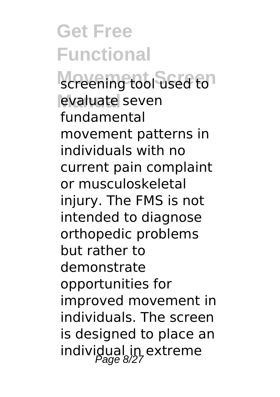screening tool used to<sup>1</sup> evaluate seven fundamental movement patterns in individuals with no current pain complaint or musculoskeletal injury. The FMS is not intended to diagnose orthopedic problems but rather to demonstrate opportunities for improved movement in individuals. The screen is designed to place an individual in extreme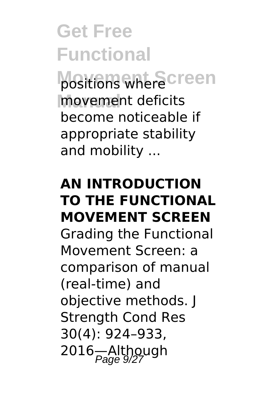positions where creen **Manual** movement deficits become noticeable if appropriate stability and mobility ...

### **AN INTRODUCTION TO THE FUNCTIONAL MOVEMENT SCREEN** Grading the Functional Movement Screen: a comparison of manual (real-time) and objective methods. J Strength Cond Res 30(4): 924–933,

2016—Although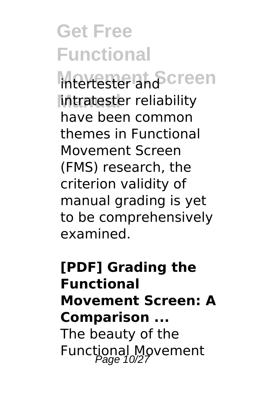**Intertester and Screen Intratester reliability** have been common themes in Functional Movement Screen (FMS) research, the criterion validity of manual grading is yet to be comprehensively examined.

### **[PDF] Grading the Functional Movement Screen: A Comparison ...** The beauty of the Functional Movement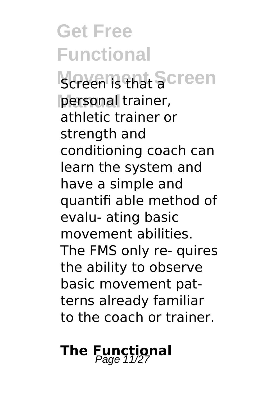**Screen is that Screen** personal trainer, athletic trainer or strength and conditioning coach can learn the system and have a simple and quantifi able method of evalu- ating basic movement abilities. The FMS only re- quires the ability to observe basic movement patterns already familiar to the coach or trainer.

### **The Functional** Page 11/27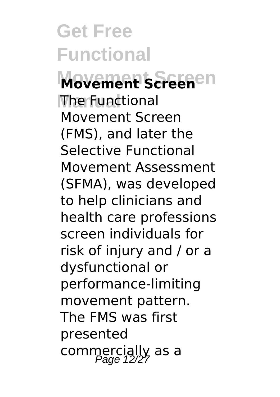**Movement Screen Movement Screen The Functional** Movement Screen (FMS), and later the Selective Functional Movement Assessment (SFMA), was developed to help clinicians and health care professions screen individuals for risk of injury and / or a dysfunctional or performance-limiting movement pattern. The FMS was first presented commercially as a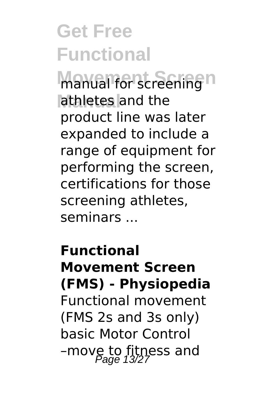manual for screening<sup>n</sup> athletes and the product line was later expanded to include a range of equipment for performing the screen, certifications for those screening athletes, seminars ...

**Functional Movement Screen (FMS) - Physiopedia** Functional movement (FMS 2s and 3s only) basic Motor Control –move to fitness and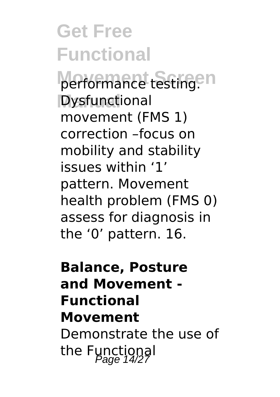performance testing.<sup>en</sup> **Dysfunctional** movement (FMS 1) correction –focus on mobility and stability issues within '1' pattern. Movement health problem (FMS 0) assess for diagnosis in the '0' pattern. 16.

### **Balance, Posture and Movement - Functional Movement** Demonstrate the use of the Functional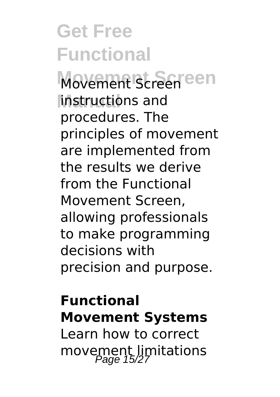**Movement Screen** Movement Screen **Manual** instructions and procedures. The principles of movement are implemented from the results we derive from the Functional Movement Screen, allowing professionals to make programming decisions with precision and purpose.

### **Functional Movement Systems**

Learn how to correct movement limitations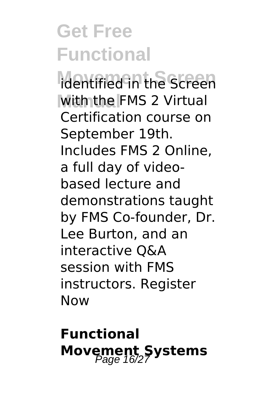**Movement Screen** identified in the Screen **With the FMS 2 Virtual** Certification course on September 19th. Includes FMS 2 Online, a full day of videobased lecture and demonstrations taught by FMS Co-founder, Dr. Lee Burton, and an interactive Q&A session with FMS instructors. Register Now

**Functional Movement Systems**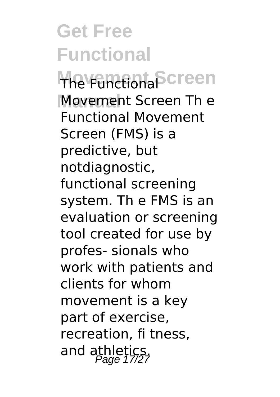**The Functional Screen Movement Screen The** Functional Movement Screen (FMS) is a predictive, but notdiagnostic, functional screening system. Th e FMS is an evaluation or screening tool created for use by profes- sionals who work with patients and clients for whom movement is a key part of exercise, recreation, fi tness, and athletics.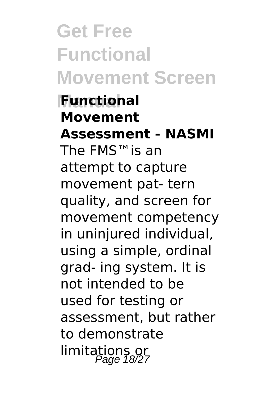# **Get Free Functional Movement Screen**

### **Functional Movement Assessment - NASMI** The FMS™is an attempt to capture movement pat- tern quality, and screen for movement competency in uninjured individual, using a simple, ordinal grad- ing system. It is not intended to be used for testing or assessment, but rather to demonstrate limitations or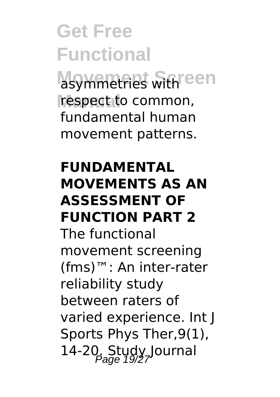asymmetries with een respect to common, fundamental human movement patterns.

#### **FUNDAMENTAL MOVEMENTS AS AN ASSESSMENT OF FUNCTION PART 2**

The functional movement screening (fms)™: An inter-rater reliability study between raters of varied experience. Int J Sports Phys Ther,9(1), 14-20. Study Journal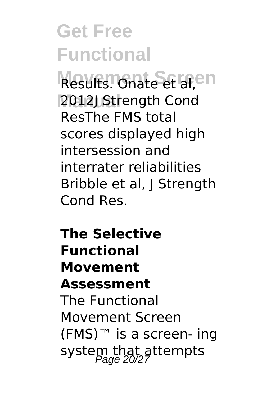Results. Onate et al,en **Manual** 2012J Strength Cond ResThe FMS total scores displayed high intersession and interrater reliabilities Bribble et al, J Strength Cond Res.

**The Selective Functional Movement Assessment** The Functional Movement Screen (FMS)™ is a screen- ing system that attempts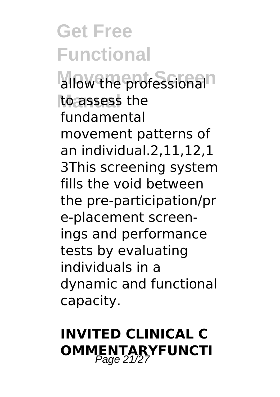allow the professional<sup>n</sup> to assess the fundamental movement patterns of an individual.2,11,12,1 3This screening system fills the void between the pre-participation/pr e-placement screenings and performance tests by evaluating individuals in a dynamic and functional capacity.

### **INVITED CLINICAL C OMMENTARYFUNCTI**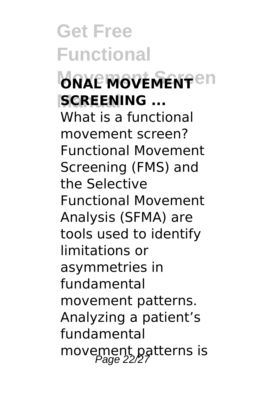### **MOVEMENT**en **SCREENING ...**

What is a functional movement screen? Functional Movement Screening (FMS) and the Selective Functional Movement Analysis (SFMA) are tools used to identify limitations or asymmetries in fundamental movement patterns. Analyzing a patient's fundamental movement patterns is<br>Page 22/27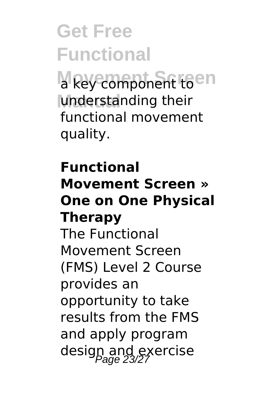a key component toen understanding their functional movement quality.

### **Functional Movement Screen » One on One Physical Therapy**

The Functional Movement Screen (FMS) Level 2 Course provides an opportunity to take results from the FMS and apply program design and exercise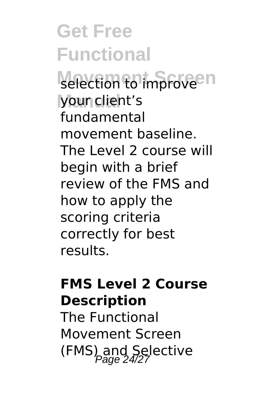selection to improve<sup>en</sup> **Manual** your client's fundamental movement baseline. The Level 2 course will begin with a brief review of the FMS and how to apply the scoring criteria correctly for best results.

#### **FMS Level 2 Course Description**

The Functional Movement Screen (FMS) and Selective  $P_{Pade}^{24/27}$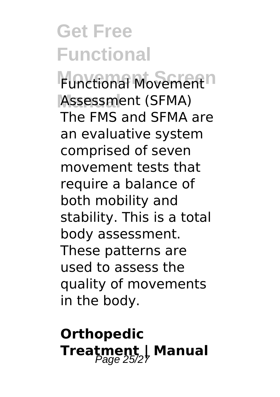**Functional Movement**<sup>n</sup> Assessment (SFMA) The FMS and SFMA are an evaluative system comprised of seven movement tests that require a balance of both mobility and stability. This is a total body assessment. These patterns are used to assess the quality of movements in the body.

### **Orthopedic Treatment | Manual** Page 25/27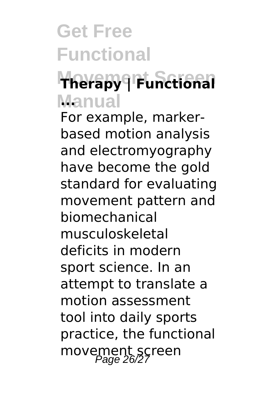### **Movement Screen Therapy | Functional Manual ...**

For example, markerbased motion analysis and electromyography have become the gold standard for evaluating movement pattern and biomechanical musculoskeletal deficits in modern sport science. In an attempt to translate a motion assessment tool into daily sports practice, the functional movement screen